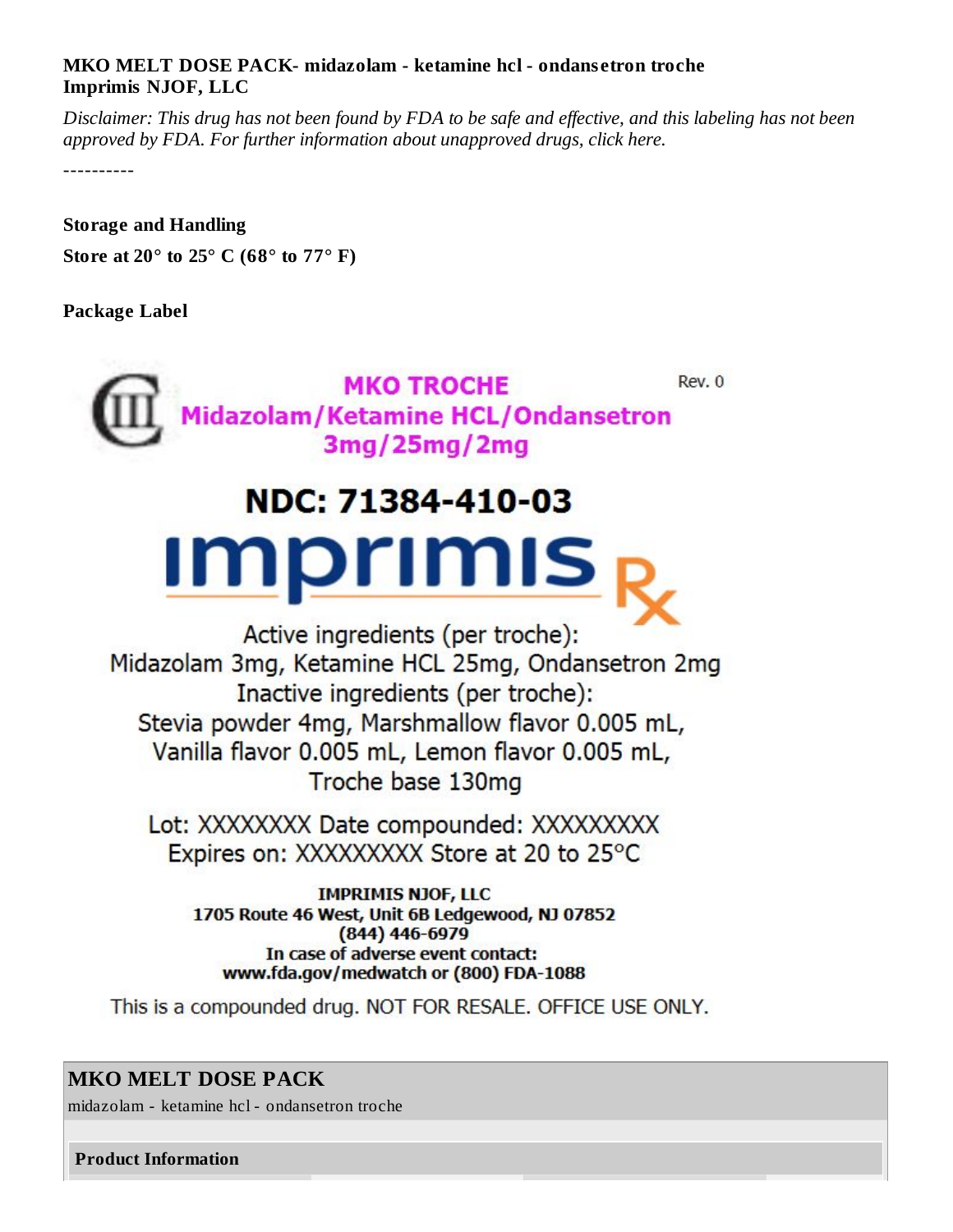## **MKO MELT DOSE PACK- midazolam - ketamine hcl - ondans etron troche Imprimis NJOF, LLC**

Disclaimer: This drug has not been found by FDA to be safe and effective, and this labeling has not been *approved by FDA. For further information about unapproved drugs, click here.*

----------

**Storage and Handling Store at 20° to 25° C (68° to 77° F)**

## **Package Label**



## **MKO MELT DOSE PACK**

midazolam - ketamine hcl - ondansetron troche

**Product Information**